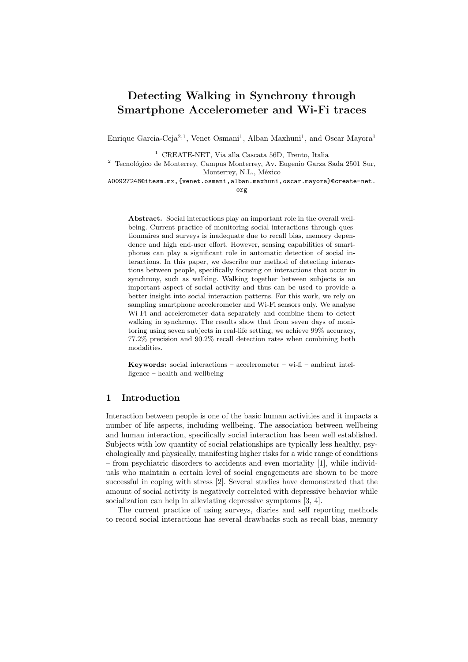# Detecting Walking in Synchrony through Smartphone Accelerometer and Wi-Fi traces

Enrique Garcia-Ceja<sup>2,1</sup>, Venet Osmani<sup>1</sup>, Alban Maxhuni<sup>1</sup>, and Oscar Mayora<sup>1</sup>

<sup>1</sup> CREATE-NET, Via alla Cascata 56D, Trento, Italia

<sup>2</sup> Tecnológico de Monterrey, Campus Monterrey, Av. Eugenio Garza Sada 2501 Sur, Monterrey, N.L., México

A00927248@itesm.mx,{venet.osmani,alban.maxhuni,oscar.mayora}@create-net. org

Abstract. Social interactions play an important role in the overall wellbeing. Current practice of monitoring social interactions through questionnaires and surveys is inadequate due to recall bias, memory dependence and high end-user effort. However, sensing capabilities of smartphones can play a significant role in automatic detection of social interactions. In this paper, we describe our method of detecting interactions between people, specifically focusing on interactions that occur in synchrony, such as walking. Walking together between subjects is an important aspect of social activity and thus can be used to provide a better insight into social interaction patterns. For this work, we rely on sampling smartphone accelerometer and Wi-Fi sensors only. We analyse Wi-Fi and accelerometer data separately and combine them to detect walking in synchrony. The results show that from seven days of monitoring using seven subjects in real-life setting, we achieve 99% accuracy, 77.2% precision and 90.2% recall detection rates when combining both modalities.

Keywords: social interactions – accelerometer – wi-fi – ambient intelligence – health and wellbeing

## 1 Introduction

Interaction between people is one of the basic human activities and it impacts a number of life aspects, including wellbeing. The association between wellbeing and human interaction, specifically social interaction has been well established. Subjects with low quantity of social relationships are typically less healthy, psychologically and physically, manifesting higher risks for a wide range of conditions – from psychiatric disorders to accidents and even mortality [1], while individuals who maintain a certain level of social engagements are shown to be more successful in coping with stress [2]. Several studies have demonstrated that the amount of social activity is negatively correlated with depressive behavior while socialization can help in alleviating depressive symptoms [3, 4].

The current practice of using surveys, diaries and self reporting methods to record social interactions has several drawbacks such as recall bias, memory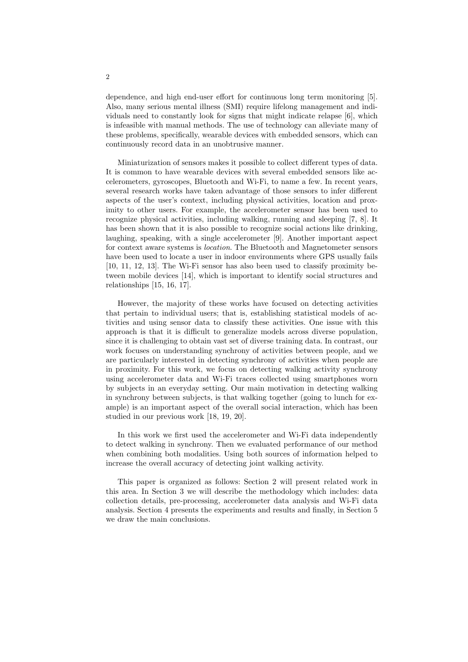dependence, and high end-user effort for continuous long term monitoring [5]. Also, many serious mental illness (SMI) require lifelong management and individuals need to constantly look for signs that might indicate relapse [6], which is infeasible with manual methods. The use of technology can alleviate many of these problems, specifically, wearable devices with embedded sensors, which can continuously record data in an unobtrusive manner.

Miniaturization of sensors makes it possible to collect different types of data. It is common to have wearable devices with several embedded sensors like accelerometers, gyroscopes, Bluetooth and Wi-Fi, to name a few. In recent years, several research works have taken advantage of those sensors to infer different aspects of the user's context, including physical activities, location and proximity to other users. For example, the accelerometer sensor has been used to recognize physical activities, including walking, running and sleeping [7, 8]. It has been shown that it is also possible to recognize social actions like drinking, laughing, speaking, with a single accelerometer [9]. Another important aspect for context aware systems is location. The Bluetooth and Magnetometer sensors have been used to locate a user in indoor environments where GPS usually fails [10, 11, 12, 13]. The Wi-Fi sensor has also been used to classify proximity between mobile devices [14], which is important to identify social structures and relationships [15, 16, 17].

However, the majority of these works have focused on detecting activities that pertain to individual users; that is, establishing statistical models of activities and using sensor data to classify these activities. One issue with this approach is that it is difficult to generalize models across diverse population, since it is challenging to obtain vast set of diverse training data. In contrast, our work focuses on understanding synchrony of activities between people, and we are particularly interested in detecting synchrony of activities when people are in proximity. For this work, we focus on detecting walking activity synchrony using accelerometer data and Wi-Fi traces collected using smartphones worn by subjects in an everyday setting. Our main motivation in detecting walking in synchrony between subjects, is that walking together (going to lunch for example) is an important aspect of the overall social interaction, which has been studied in our previous work [18, 19, 20].

In this work we first used the accelerometer and Wi-Fi data independently to detect walking in synchrony. Then we evaluated performance of our method when combining both modalities. Using both sources of information helped to increase the overall accuracy of detecting joint walking activity.

This paper is organized as follows: Section 2 will present related work in this area. In Section 3 we will describe the methodology which includes: data collection details, pre-processing, accelerometer data analysis and Wi-Fi data analysis. Section 4 presents the experiments and results and finally, in Section 5 we draw the main conclusions.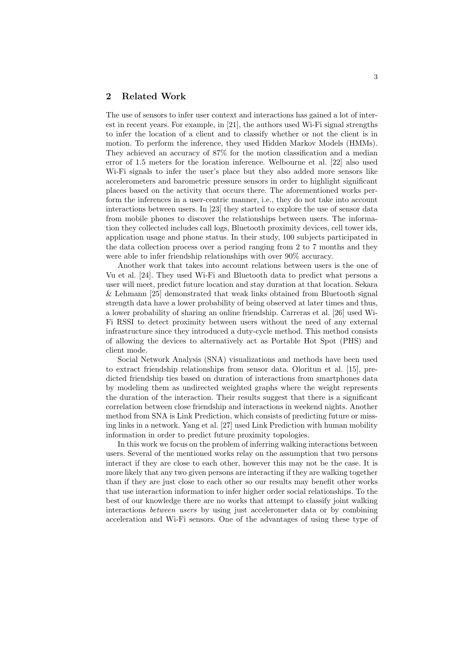## 2 Related Work

The use of sensors to infer user context and interactions has gained a lot of interest in recent years. For example, in [21], the authors used Wi-Fi signal strengths to infer the location of a client and to classify whether or not the client is in motion. To perform the inference, they used Hidden Markov Models (HMMs). They achieved an accuracy of 87% for the motion classification and a median error of 1.5 meters for the location inference. Welbourne et al. [22] also used Wi-Fi signals to infer the user's place but they also added more sensors like accelerometers and barometric pressure sensors in order to highlight significant places based on the activity that occurs there. The aforementioned works perform the inferences in a user-centric manner, i.e., they do not take into account interactions between users. In [23] they started to explore the use of sensor data from mobile phones to discover the relationships between users. The information they collected includes call logs, Bluetooth proximity devices, cell tower ids, application usage and phone status. In their study, 100 subjects participated in the data collection process over a period ranging from 2 to 7 months and they were able to infer friendship relationships with over 90% accuracy.

Another work that takes into account relations between users is the one of Vu et al. [24]. They used Wi-Fi and Bluetooth data to predict what persons a user will meet, predict future location and stay duration at that location. Sekara & Lehmann [25] demonstrated that weak links obtained from Bluetooth signal strength data have a lower probability of being observed at later times and thus, a lower probability of sharing an online friendship. Carreras et al. [26] used Wi-Fi RSSI to detect proximity between users without the need of any external infrastructure since they introduced a duty-cycle method. This method consists of allowing the devices to alternatively act as Portable Hot Spot (PHS) and client mode.

Social Network Analysis (SNA) visualizations and methods have been used to extract friendship relationships from sensor data. Oloritun et al. [15], predicted friendship ties based on duration of interactions from smartphones data by modeling them as undirected weighted graphs where the weight represents the duration of the interaction. Their results suggest that there is a significant correlation between close friendship and interactions in weekend nights. Another method from SNA is Link Prediction, which consists of predicting future or missing links in a network. Yang et al. [27] used Link Prediction with human mobility information in order to predict future proximity topologies.

In this work we focus on the problem of inferring walking interactions between users. Several of the mentioned works relay on the assumption that two persons interact if they are close to each other, however this may not be the case. It is more likely that any two given persons are interacting if they are walking together than if they are just close to each other so our results may benefit other works that use interaction information to infer higher order social relationships. To the best of our knowledge there are no works that attempt to classify joint walking interactions between users by using just accelerometer data or by combining acceleration and Wi-Fi sensors. One of the advantages of using these type of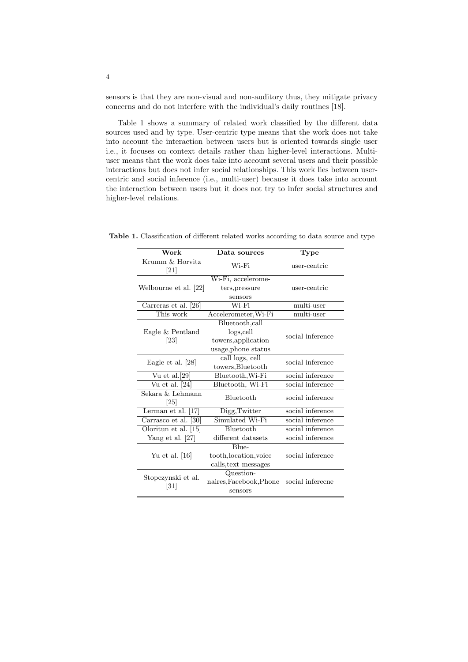sensors is that they are non-visual and non-auditory thus, they mitigate privacy concerns and do not interfere with the individual's daily routines [18].

Table 1 shows a summary of related work classified by the different data sources used and by type. User-centric type means that the work does not take into account the interaction between users but is oriented towards single user i.e., it focuses on context details rather than higher-level interactions. Multiuser means that the work does take into account several users and their possible interactions but does not infer social relationships. This work lies between usercentric and social inference (i.e., multi-user) because it does take into account the interaction between users but it does not try to infer social structures and higher-level relations.

| Work                                 | Data sources            | Type             |  |
|--------------------------------------|-------------------------|------------------|--|
| Krumm & Horvitz<br>[21]              | Wi-Fi                   | user-centric     |  |
|                                      | Wi-Fi, accelerome-      |                  |  |
| Welbourne et al. [22]                | ters, pressure          | user-centric     |  |
|                                      | sensors                 |                  |  |
| Carreras et al. [26]                 | Wi-Fi                   | multi-user       |  |
| This work                            | Accelerometer, Wi-Fi    | multi-user       |  |
|                                      | Bluetooth,call          |                  |  |
| Eagle & Pentland                     | $logs,$ cell            | social inference |  |
| 23                                   | towers, application     |                  |  |
|                                      | usage, phone status     |                  |  |
| Eagle et al. [28]                    | call logs, cell         | social inference |  |
|                                      | towers, Bluetooth       |                  |  |
| Vu et al. $[29]$                     | Bluetooth, Wi-Fi        | social inference |  |
| Vu et al. $[24]$                     | Bluetooth, Wi-Fi        | social inference |  |
| Sekara & Lehmann<br> 25              | Bluetooth               | social inference |  |
| Lerman et al. $[17]$                 | Digg, Twitter           | social inference |  |
| $\left[30\right]$<br>Carrasco et al. | Simulated Wi-Fi         | social inference |  |
| Oloritun et al. [15]                 | Bluetooth               | social inference |  |
| Yang et al. [27]                     | different datasets      | social inference |  |
|                                      | Blue-                   |                  |  |
| Yu et al. $[16]$                     | tooth, location, voice  | social inference |  |
|                                      | calls, text messages    |                  |  |
|                                      | Question-               |                  |  |
| Stopczynski et al.<br>$[31]$         | naires, Facebook, Phone | social inferecne |  |
|                                      | sensors                 |                  |  |

Table 1. Classification of different related works according to data source and type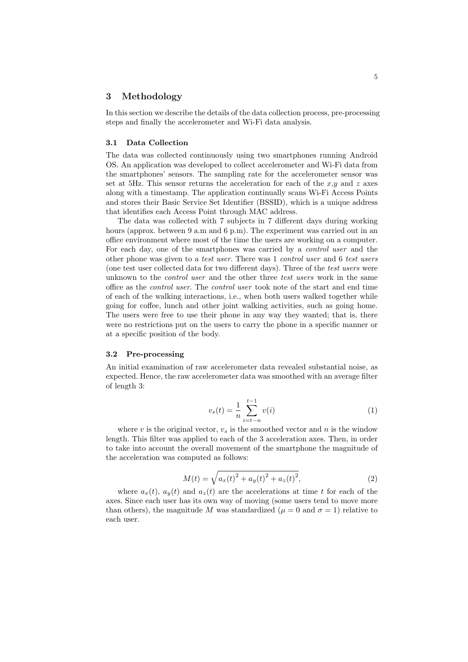#### 3 Methodology

In this section we describe the details of the data collection process, pre-processing steps and finally the accelerometer and Wi-Fi data analysis.

#### 3.1 Data Collection

The data was collected continuously using two smartphones running Android OS. An application was developed to collect accelerometer and Wi-Fi data from the smartphones' sensors. The sampling rate for the accelerometer sensor was set at 5Hz. This sensor returns the acceleration for each of the  $x,y$  and z axes along with a timestamp. The application continually scans Wi-Fi Access Points and stores their Basic Service Set Identifier (BSSID), which is a unique address that identifies each Access Point through MAC address.

The data was collected with 7 subjects in 7 different days during working hours (approx. between 9 a.m and 6 p.m). The experiment was carried out in an office environment where most of the time the users are working on a computer. For each day, one of the smartphones was carried by a *control user* and the other phone was given to a test user. There was 1 control user and 6 test users (one test user collected data for two different days). Three of the test users were unknown to the *control user* and the other three test users work in the same office as the control user. The control user took note of the start and end time of each of the walking interactions, i.e., when both users walked together while going for coffee, lunch and other joint walking activities, such as going home. The users were free to use their phone in any way they wanted; that is, there were no restrictions put on the users to carry the phone in a specific manner or at a specific position of the body.

#### 3.2 Pre-processing

An initial examination of raw accelerometer data revealed substantial noise, as expected. Hence, the raw accelerometer data was smoothed with an average filter of length 3:

$$
v_s(t) = \frac{1}{n} \sum_{i=t-n}^{t-1} v(i)
$$
 (1)

where v is the original vector,  $v_s$  is the smoothed vector and n is the window length. This filter was applied to each of the 3 acceleration axes. Then, in order to take into account the overall movement of the smartphone the magnitude of the acceleration was computed as follows:

$$
M(t) = \sqrt{a_x(t)^2 + a_y(t)^2 + a_z(t)^2},
$$
\n(2)

where  $a_x(t)$ ,  $a_y(t)$  and  $a_z(t)$  are the accelerations at time t for each of the axes. Since each user has its own way of moving (some users tend to move more than others), the magnitude M was standardized ( $\mu = 0$  and  $\sigma = 1$ ) relative to each user.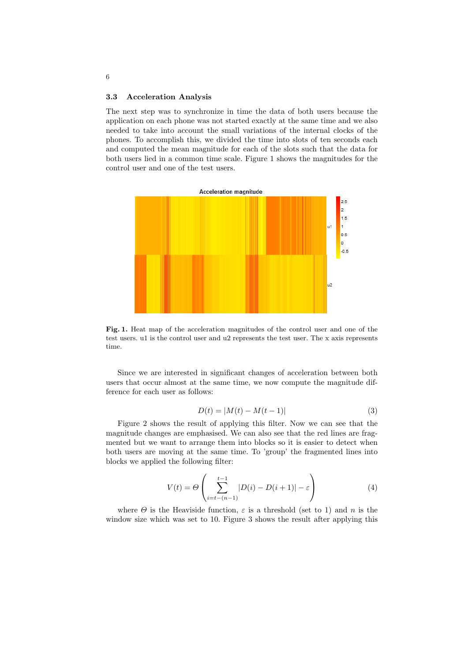#### 3.3 Acceleration Analysis

The next step was to synchronize in time the data of both users because the application on each phone was not started exactly at the same time and we also needed to take into account the small variations of the internal clocks of the phones. To accomplish this, we divided the time into slots of ten seconds each and computed the mean magnitude for each of the slots such that the data for both users lied in a common time scale. Figure 1 shows the magnitudes for the control user and one of the test users.



Fig. 1. Heat map of the acceleration magnitudes of the control user and one of the test users. u1 is the control user and u2 represents the test user. The x axis represents time.

Since we are interested in significant changes of acceleration between both users that occur almost at the same time, we now compute the magnitude difference for each user as follows:

$$
D(t) = |M(t) - M(t - 1)|
$$
\n(3)

Figure 2 shows the result of applying this filter. Now we can see that the magnitude changes are emphasised. We can also see that the red lines are fragmented but we want to arrange them into blocks so it is easier to detect when both users are moving at the same time. To 'group' the fragmented lines into blocks we applied the following filter:

$$
V(t) = \Theta \left( \sum_{i=t-(n-1)}^{t-1} |D(i) - D(i+1)| - \varepsilon \right)
$$
 (4)

where  $\Theta$  is the Heaviside function,  $\varepsilon$  is a threshold (set to 1) and n is the window size which was set to 10. Figure 3 shows the result after applying this

6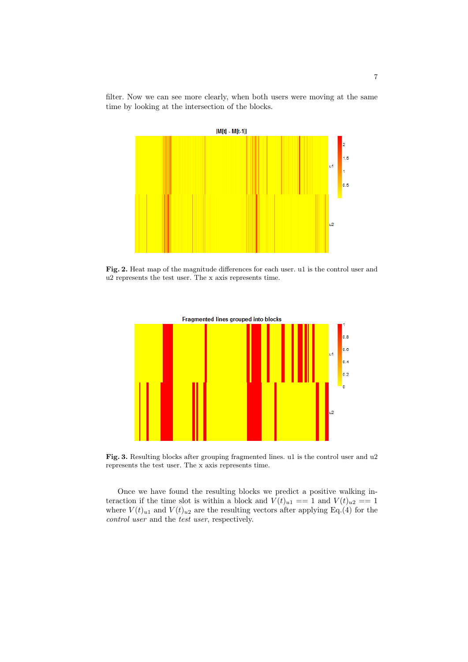filter. Now we can see more clearly, when both users were moving at the same time by looking at the intersection of the blocks.



Fig. 2. Heat map of the magnitude differences for each user. u1 is the control user and u2 represents the test user. The x axis represents time.



Fig. 3. Resulting blocks after grouping fragmented lines. u1 is the control user and u2 represents the test user. The x axis represents time.

Once we have found the resulting blocks we predict a positive walking interaction if the time slot is within a block and  $V(t)_{u1} = 1$  and  $V(t)_{u2} = 1$ where  $V(t)_{u1}$  and  $V(t)_{u2}$  are the resulting vectors after applying Eq.(4) for the control user and the test user, respectively.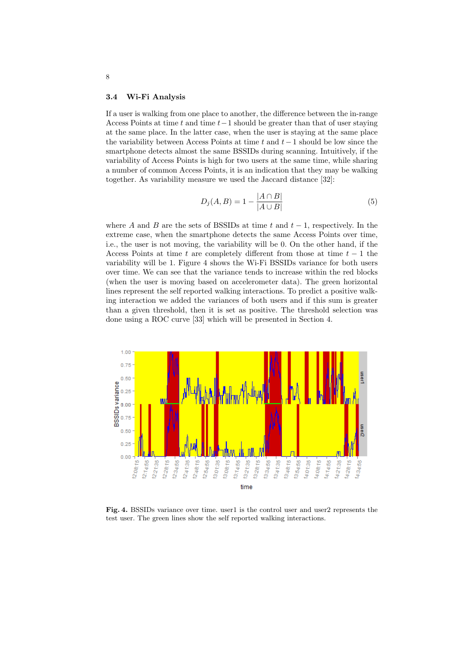#### 3.4 Wi-Fi Analysis

If a user is walking from one place to another, the difference between the in-range Access Points at time t and time  $t-1$  should be greater than that of user staying at the same place. In the latter case, when the user is staying at the same place the variability between Access Points at time  $t$  and  $t-1$  should be low since the smartphone detects almost the same BSSIDs during scanning. Intuitively, if the variability of Access Points is high for two users at the same time, while sharing a number of common Access Points, it is an indication that they may be walking together. As variability measure we used the Jaccard distance [32]:

$$
D_j(A, B) = 1 - \frac{|A \cap B|}{|A \cup B|}
$$
 (5)

where A and B are the sets of BSSIDs at time t and  $t-1$ , respectively. In the extreme case, when the smartphone detects the same Access Points over time, i.e., the user is not moving, the variability will be 0. On the other hand, if the Access Points at time t are completely different from those at time  $t - 1$  the variability will be 1. Figure 4 shows the Wi-Fi BSSIDs variance for both users over time. We can see that the variance tends to increase within the red blocks (when the user is moving based on accelerometer data). The green horizontal lines represent the self reported walking interactions. To predict a positive walking interaction we added the variances of both users and if this sum is greater than a given threshold, then it is set as positive. The threshold selection was done using a ROC curve [33] which will be presented in Section 4.



Fig. 4. BSSIDs variance over time. user1 is the control user and user2 represents the test user. The green lines show the self reported walking interactions.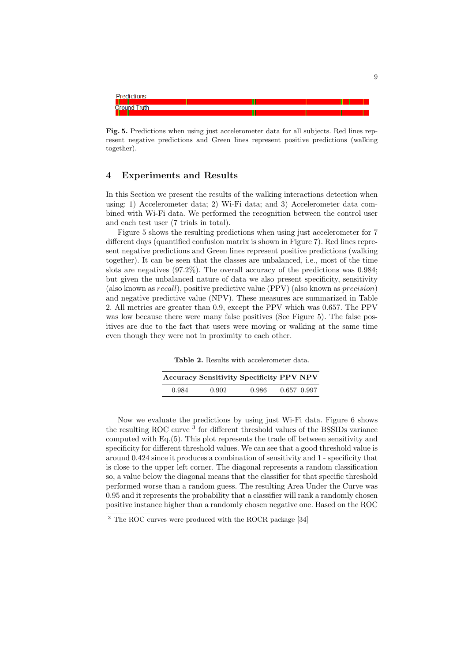

Fig. 5. Predictions when using just accelerometer data for all subjects. Red lines represent negative predictions and Green lines represent positive predictions (walking together).

# 4 Experiments and Results

In this Section we present the results of the walking interactions detection when using: 1) Accelerometer data; 2) Wi-Fi data; and 3) Accelerometer data combined with Wi-Fi data. We performed the recognition between the control user and each test user (7 trials in total).

Figure 5 shows the resulting predictions when using just accelerometer for 7 different days (quantified confusion matrix is shown in Figure 7). Red lines represent negative predictions and Green lines represent positive predictions (walking together). It can be seen that the classes are unbalanced, i.e., most of the time slots are negatives (97.2%). The overall accuracy of the predictions was 0.984; but given the unbalanced nature of data we also present specificity, sensitivity (also known as  $recall$ ), positive predictive value (PPV) (also known as  $precision$ ) and negative predictive value (NPV). These measures are summarized in Table 2. All metrics are greater than 0.9, except the PPV which was 0.657. The PPV was low because there were many false positives (See Figure 5). The false positives are due to the fact that users were moving or walking at the same time even though they were not in proximity to each other.

Table 2. Results with accelerometer data.

|       | <b>Accuracy Sensitivity Specificity PPV NPV</b> |       |             |
|-------|-------------------------------------------------|-------|-------------|
| 0.984 | 0.902                                           | 0.986 | 0.657 0.997 |

Now we evaluate the predictions by using just Wi-Fi data. Figure 6 shows the resulting ROC curve <sup>3</sup> for different threshold values of the BSSIDs variance computed with Eq.(5). This plot represents the trade off between sensitivity and specificity for different threshold values. We can see that a good threshold value is around 0.424 since it produces a combination of sensitivity and 1 - specificity that is close to the upper left corner. The diagonal represents a random classification so, a value below the diagonal means that the classifier for that specific threshold performed worse than a random guess. The resulting Area Under the Curve was 0.95 and it represents the probability that a classifier will rank a randomly chosen positive instance higher than a randomly chosen negative one. Based on the ROC

<sup>3</sup> The ROC curves were produced with the ROCR package [34]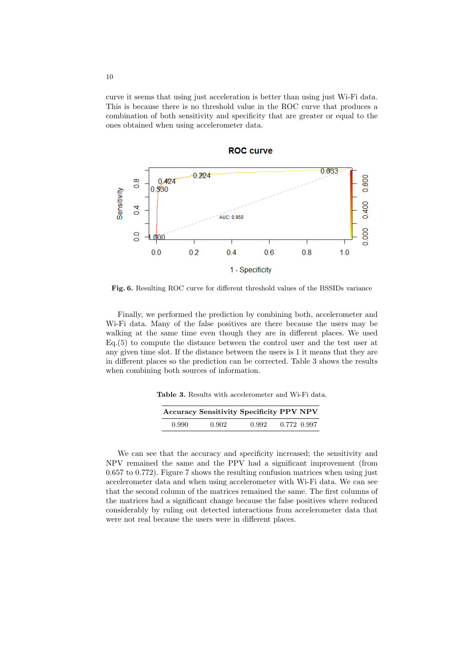curve it seems that using just acceleration is better than using just Wi-Fi data. This is because there is no threshold value in the ROC curve that produces a combination of both sensitivity and specificity that are greater or equal to the ones obtained when using accelerometer data.



Fig. 6. Resulting ROC curve for different threshold values of the BSSIDs variance

Finally, we performed the prediction by combining both, accelerometer and Wi-Fi data. Many of the false positives are there because the users may be walking at the same time even though they are in different places. We used Eq.(5) to compute the distance between the control user and the test user at any given time slot. If the distance between the users is 1 it means that they are in different places so the prediction can be corrected. Table 3 shows the results when combining both sources of information.

Table 3. Results with accelerometer and Wi-Fi data.

|       | <b>Accuracy Sensitivity Specificity PPV NPV</b> |       |             |  |
|-------|-------------------------------------------------|-------|-------------|--|
| 0.990 | 0.902                                           | 0.992 | 0.772 0.997 |  |

We can see that the accuracy and specificity increased; the sensitivity and NPV remained the same and the PPV had a significant improvement (from 0.657 to 0.772). Figure 7 shows the resulting confusion matrices when using just accelerometer data and when using accelerometer with Wi-Fi data. We can see that the second column of the matrices remained the same. The first columns of the matrices had a significant change because the false positives where reduced considerably by ruling out detected interactions from accelerometer data that were not real because the users were in different places.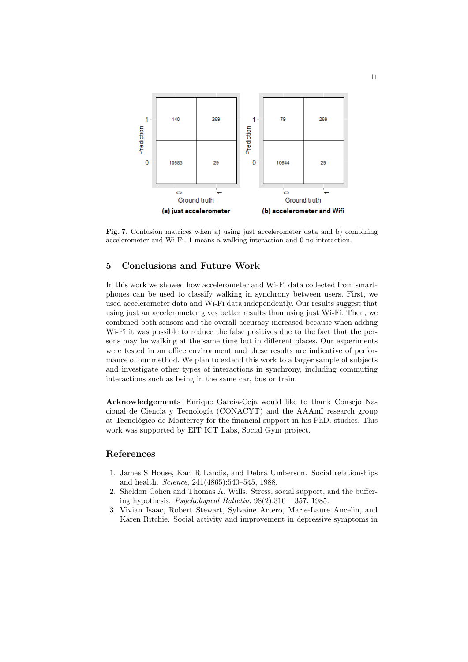

Fig. 7. Confusion matrices when a) using just accelerometer data and b) combining accelerometer and Wi-Fi. 1 means a walking interaction and 0 no interaction.

# 5 Conclusions and Future Work

In this work we showed how accelerometer and Wi-Fi data collected from smartphones can be used to classify walking in synchrony between users. First, we used accelerometer data and Wi-Fi data independently. Our results suggest that using just an accelerometer gives better results than using just Wi-Fi. Then, we combined both sensors and the overall accuracy increased because when adding Wi-Fi it was possible to reduce the false positives due to the fact that the persons may be walking at the same time but in different places. Our experiments were tested in an office environment and these results are indicative of performance of our method. We plan to extend this work to a larger sample of subjects and investigate other types of interactions in synchrony, including commuting interactions such as being in the same car, bus or train.

Acknowledgements Enrique Garcia-Ceja would like to thank Consejo Nacional de Ciencia y Tecnología (CONACYT) and the AAAmI research group at Tecnológico de Monterrey for the financial support in his PhD. studies. This work was supported by EIT ICT Labs, Social Gym project.

# References

- 1. James S House, Karl R Landis, and Debra Umberson. Social relationships and health. Science, 241(4865):540–545, 1988.
- 2. Sheldon Cohen and Thomas A. Wills. Stress, social support, and the buffering hypothesis. Psychological Bulletin,  $98(2):310 - 357$ , 1985.
- 3. Vivian Isaac, Robert Stewart, Sylvaine Artero, Marie-Laure Ancelin, and Karen Ritchie. Social activity and improvement in depressive symptoms in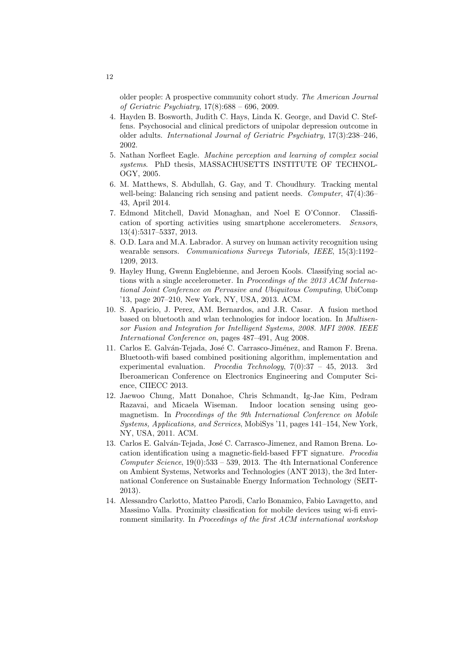older people: A prospective community cohort study. The American Journal of Geriatric Psychiatry, 17(8):688 – 696, 2009.

- 4. Hayden B. Bosworth, Judith C. Hays, Linda K. George, and David C. Steffens. Psychosocial and clinical predictors of unipolar depression outcome in older adults. International Journal of Geriatric Psychiatry, 17(3):238–246, 2002.
- 5. Nathan Norfleet Eagle. Machine perception and learning of complex social systems. PhD thesis, MASSACHUSETTS INSTITUTE OF TECHNOL-OGY, 2005.
- 6. M. Matthews, S. Abdullah, G. Gay, and T. Choudhury. Tracking mental well-being: Balancing rich sensing and patient needs. Computer,  $47(4)$ :36-43, April 2014.
- 7. Edmond Mitchell, David Monaghan, and Noel E O'Connor. Classification of sporting activities using smartphone accelerometers. Sensors, 13(4):5317–5337, 2013.
- 8. O.D. Lara and M.A. Labrador. A survey on human activity recognition using wearable sensors. Communications Surveys Tutorials, IEEE, 15(3):1192– 1209, 2013.
- 9. Hayley Hung, Gwenn Englebienne, and Jeroen Kools. Classifying social actions with a single accelerometer. In Proceedings of the 2013 ACM International Joint Conference on Pervasive and Ubiquitous Computing, UbiComp '13, page 207–210, New York, NY, USA, 2013. ACM.
- 10. S. Aparicio, J. Perez, AM. Bernardos, and J.R. Casar. A fusion method based on bluetooth and wlan technologies for indoor location. In *Multisen*sor Fusion and Integration for Intelligent Systems, 2008. MFI 2008. IEEE International Conference on, pages 487–491, Aug 2008.
- 11. Carlos E. Galván-Tejada, José C. Carrasco-Jiménez, and Ramon F. Brena. Bluetooth-wifi based combined positioning algorithm, implementation and experimental evaluation. Procedia Technology,  $7(0):37 - 45$ , 2013. 3rd Iberoamerican Conference on Electronics Engineering and Computer Science, CIIECC 2013.
- 12. Jaewoo Chung, Matt Donahoe, Chris Schmandt, Ig-Jae Kim, Pedram Razavai, and Micaela Wiseman. Indoor location sensing using geomagnetism. In Proceedings of the 9th International Conference on Mobile Systems, Applications, and Services, MobiSys '11, pages 141–154, New York, NY, USA, 2011. ACM.
- 13. Carlos E. Galván-Tejada, José C. Carrasco-Jimenez, and Ramon Brena. Location identification using a magnetic-field-based FFT signature. Procedia Computer Science, 19(0):533 – 539, 2013. The 4th International Conference on Ambient Systems, Networks and Technologies (ANT 2013), the 3rd International Conference on Sustainable Energy Information Technology (SEIT-2013).
- 14. Alessandro Carlotto, Matteo Parodi, Carlo Bonamico, Fabio Lavagetto, and Massimo Valla. Proximity classification for mobile devices using wi-fi environment similarity. In Proceedings of the first ACM international workshop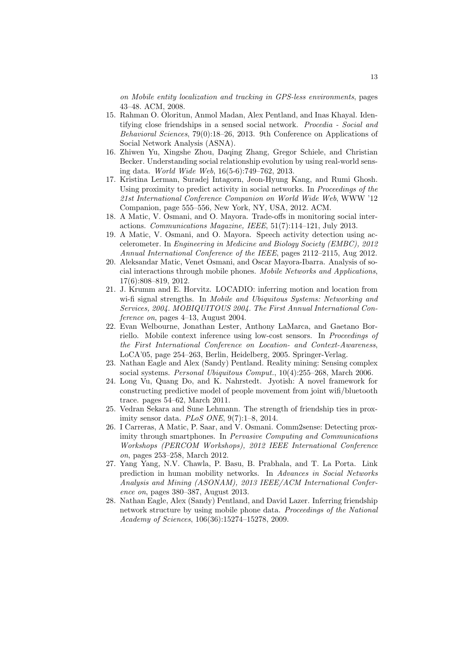on Mobile entity localization and tracking in GPS-less environments, pages 43–48. ACM, 2008.

- 15. Rahman O. Oloritun, Anmol Madan, Alex Pentland, and Inas Khayal. Identifying close friendships in a sensed social network. Procedia - Social and Behavioral Sciences, 79(0):18–26, 2013. 9th Conference on Applications of Social Network Analysis (ASNA).
- 16. Zhiwen Yu, Xingshe Zhou, Daqing Zhang, Gregor Schiele, and Christian Becker. Understanding social relationship evolution by using real-world sensing data. World Wide Web, 16(5-6):749–762, 2013.
- 17. Kristina Lerman, Suradej Intagorn, Jeon-Hyung Kang, and Rumi Ghosh. Using proximity to predict activity in social networks. In Proceedings of the 21st International Conference Companion on World Wide Web, WWW '12 Companion, page 555–556, New York, NY, USA, 2012. ACM.
- 18. A Matic, V. Osmani, and O. Mayora. Trade-offs in monitoring social interactions. Communications Magazine, IEEE, 51(7):114–121, July 2013.
- 19. A Matic, V. Osmani, and O. Mayora. Speech activity detection using accelerometer. In Engineering in Medicine and Biology Society (EMBC), 2012 Annual International Conference of the IEEE, pages 2112–2115, Aug 2012.
- 20. Aleksandar Matic, Venet Osmani, and Oscar Mayora-Ibarra. Analysis of social interactions through mobile phones. Mobile Networks and Applications, 17(6):808–819, 2012.
- 21. J. Krumm and E. Horvitz. LOCADIO: inferring motion and location from wi-fi signal strengths. In Mobile and Ubiquitous Systems: Networking and Services, 2004. MOBIQUITOUS 2004. The First Annual International Conference on, pages 4–13, August 2004.
- 22. Evan Welbourne, Jonathan Lester, Anthony LaMarca, and Gaetano Borriello. Mobile context inference using low-cost sensors. In Proceedings of the First International Conference on Location- and Context-Awareness, LoCA'05, page 254–263, Berlin, Heidelberg, 2005. Springer-Verlag.
- 23. Nathan Eagle and Alex (Sandy) Pentland. Reality mining: Sensing complex social systems. Personal Ubiquitous Comput., 10(4):255–268, March 2006.
- 24. Long Vu, Quang Do, and K. Nahrstedt. Jyotish: A novel framework for constructing predictive model of people movement from joint wifi/bluetooth trace. pages 54–62, March 2011.
- 25. Vedran Sekara and Sune Lehmann. The strength of friendship ties in proximity sensor data. PLoS ONE, 9(7):1–8, 2014.
- 26. I Carreras, A Matic, P. Saar, and V. Osmani. Comm2sense: Detecting proximity through smartphones. In Pervasive Computing and Communications Workshops (PERCOM Workshops), 2012 IEEE International Conference on, pages 253–258, March 2012.
- 27. Yang Yang, N.V. Chawla, P. Basu, B. Prabhala, and T. La Porta. Link prediction in human mobility networks. In Advances in Social Networks Analysis and Mining (ASONAM), 2013 IEEE/ACM International Conference on, pages 380–387, August 2013.
- 28. Nathan Eagle, Alex (Sandy) Pentland, and David Lazer. Inferring friendship network structure by using mobile phone data. Proceedings of the National Academy of Sciences, 106(36):15274–15278, 2009.